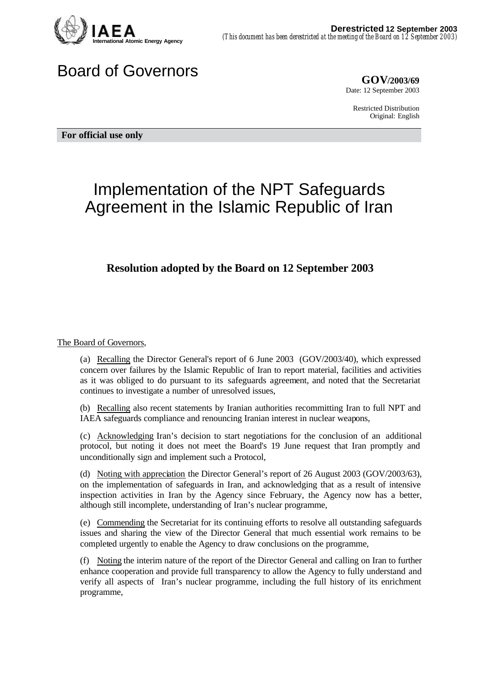

## Board of Governors **GOV**<sup>2003/69</sup>

Date: 12 September 2003

Restricted Distribution Original: English

**For official use only**

## Implementation of the NPT Safeguards Agreement in the Islamic Republic of Iran

## **Resolution adopted by the Board on 12 September 2003**

The Board of Governors,

(a) Recalling the Director General's report of 6 June 2003 (GOV/2003/40), which expressed concern over failures by the Islamic Republic of Iran to report material, facilities and activities as it was obliged to do pursuant to its safeguards agreement, and noted that the Secretariat continues to investigate a number of unresolved issues,

(b) Recalling also recent statements by Iranian authorities recommitting Iran to full NPT and IAEA safeguards compliance and renouncing Iranian interest in nuclear weapons,

(c) Acknowledging Iran's decision to start negotiations for the conclusion of an additional protocol, but noting it does not meet the Board's 19 June request that Iran promptly and unconditionally sign and implement such a Protocol,

(d) Noting with appreciation the Director General's report of 26 August 2003 (GOV/2003/63), on the implementation of safeguards in Iran, and acknowledging that as a result of intensive inspection activities in Iran by the Agency since February, the Agency now has a better, although still incomplete, understanding of Iran's nuclear programme,

(e) Commending the Secretariat for its continuing efforts to resolve all outstanding safeguards issues and sharing the view of the Director General that much essential work remains to be completed urgently to enable the Agency to draw conclusions on the programme,

(f) Noting the interim nature of the report of the Director General and calling on Iran to further enhance cooperation and provide full transparency to allow the Agency to fully understand and verify all aspects of Iran's nuclear programme, including the full history of its enrichment programme,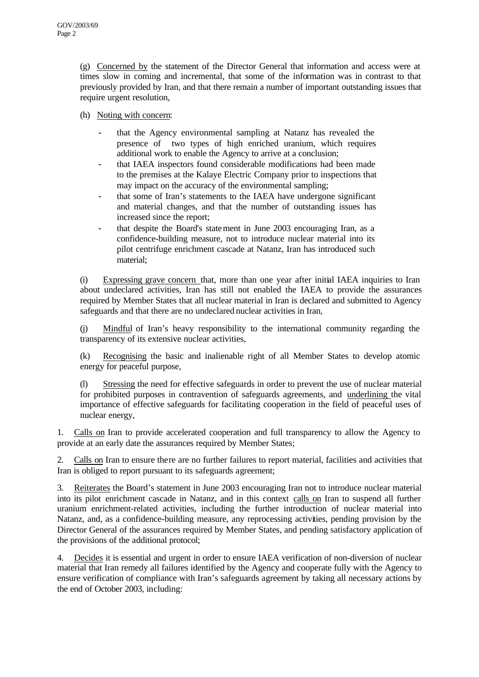(g) Concerned by the statement of the Director General that information and access were at times slow in coming and incremental, that some of the information was in contrast to that previously provided by Iran, and that there remain a number of important outstanding issues that require urgent resolution,

- (h) Noting with concern:
	- that the Agency environmental sampling at Natanz has revealed the presence of two types of high enriched uranium, which requires additional work to enable the Agency to arrive at a conclusion;
	- that IAEA inspectors found considerable modifications had been made to the premises at the Kalaye Electric Company prior to inspections that may impact on the accuracy of the environmental sampling;
	- that some of Iran's statements to the IAEA have undergone significant and material changes, and that the number of outstanding issues has increased since the report;
	- that despite the Board's statement in June 2003 encouraging Iran, as a confidence-building measure, not to introduce nuclear material into its pilot centrifuge enrichment cascade at Natanz, Iran has introduced such material;

(i) Expressing grave concern that, more than one year after initial IAEA inquiries to Iran about undeclared activities, Iran has still not enabled the IAEA to provide the assurances required by Member States that all nuclear material in Iran is declared and submitted to Agency safeguards and that there are no undeclared nuclear activities in Iran,

(j) Mindful of Iran's heavy responsibility to the international community regarding the transparency of its extensive nuclear activities,

(k) Recognising the basic and inalienable right of all Member States to develop atomic energy for peaceful purpose,

(l) Stressing the need for effective safeguards in order to prevent the use of nuclear material for prohibited purposes in contravention of safeguards agreements, and underlining the vital importance of effective safeguards for facilitating cooperation in the field of peaceful uses of nuclear energy,

1. Calls on Iran to provide accelerated cooperation and full transparency to allow the Agency to provide at an early date the assurances required by Member States;

2. Calls on Iran to ensure there are no further failures to report material, facilities and activities that Iran is obliged to report pursuant to its safeguards agreement;

3. Reiterates the Board's statement in June 2003 encouraging Iran not to introduce nuclear material into its pilot enrichment cascade in Natanz, and in this context calls on Iran to suspend all further uranium enrichment-related activities, including the further introduction of nuclear material into Natanz, and, as a confidence-building measure, any reprocessing activities, pending provision by the Director General of the assurances required by Member States, and pending satisfactory application of the provisions of the additional protocol;

4. Decides it is essential and urgent in order to ensure IAEA verification of non-diversion of nuclear material that Iran remedy all failures identified by the Agency and cooperate fully with the Agency to ensure verification of compliance with Iran's safeguards agreement by taking all necessary actions by the end of October 2003, including: